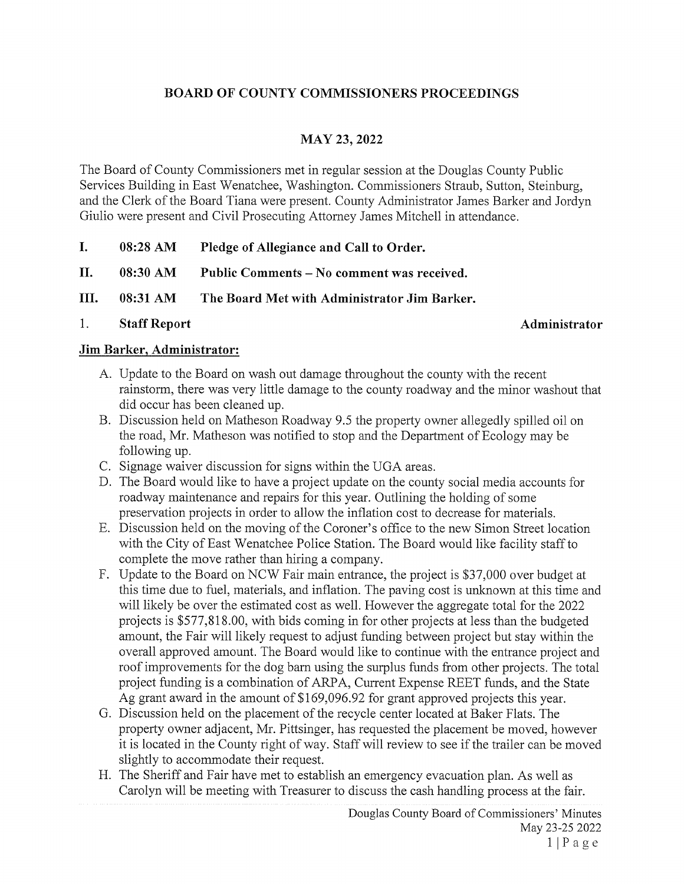# BOARD OF COUNTY COMMISSIONERS PROCEEDINGS

# MAY 23, 2022

The Board of County Commissioners met in regular session at the Douglas County Public Services Building in East Wenatchee, Washington. Commissioners Straub, Sutton, Steinburg, and the Clerk of the Board Tiana were present. County Administrator James Barker and Jordyn Giulio were present and Civil Prosecuting Attorney James Mitchell in attendance.

- I. 08:28 AM Pledge of Allegiance and Call to Order.
- II. 08:30 AM Public Comments No comment was received.
- III. 08:3 <sup>1</sup> AM The Board Met with Administrator Jim Barker.
- 1.

#### Staff Report Administrator

#### Jim Barker, Administrator:

- A. Update to the Board on wash out damage throughout the county with the recent rainstorm, there was very little damage to the county roadway and the minor washout that did occur has been cleaned up.
- B. Discussion held on Matheson Roadway 9.5 the property owner allegedly spilled oil on the road, Mr. Matheson was notified to stop and the Department of Ecology may be following up.
- C. Signage waiver discussion for signs within the UGA areas.
- D. The Board would like to have a project update on the county social media accounts for roadway maintenance and repairs for this year. Outlining the holding of some preservation projects in order to allow the inflation cost to decrease for materials.
- E. Discussion held on the moving of the Coroner's office to the new Simon Street location with the City of East Wenatchee Police Station. The Board would like facility staff to complete the move rather than hiring a company.
- F. Update to the Board on NCW Fair main entrance, the project is \$37,000 over budget at this time due to fuel, materials, and inflation. The paving cost is unknown at this time and will likely be over the estimated cost as well. However the aggregate total for the 2022 projects is \$577,818.00, with bids coming in for other projects at less than the budgeted amount, the Fair will likely request to adjust funding between project but stay within the overall approved amount. The Board would like to continue with the entrance project and roof improvements for the dog barn using the surplus funds from other projects. The total project funding is a combination of ARPA, Current Expense REET funds, and the State Ag grant award in the amount of \$169,096.92 for grant approved projects this year.
- G. Discussion held on the placement of the recycle center located at Baker Flats. The property owner adjacent, Mr. Pittsinger, has requested the placement be moved, however it is located in the County right of way. Staff will review to see if the trailer can be moved slightly to accommodate their request.
- H. The Sheriff and Fair have met to establish an emergency evacuation plan. As well as Carolyn will be meeting with Treasurer to discuss the cash handling process at the fair.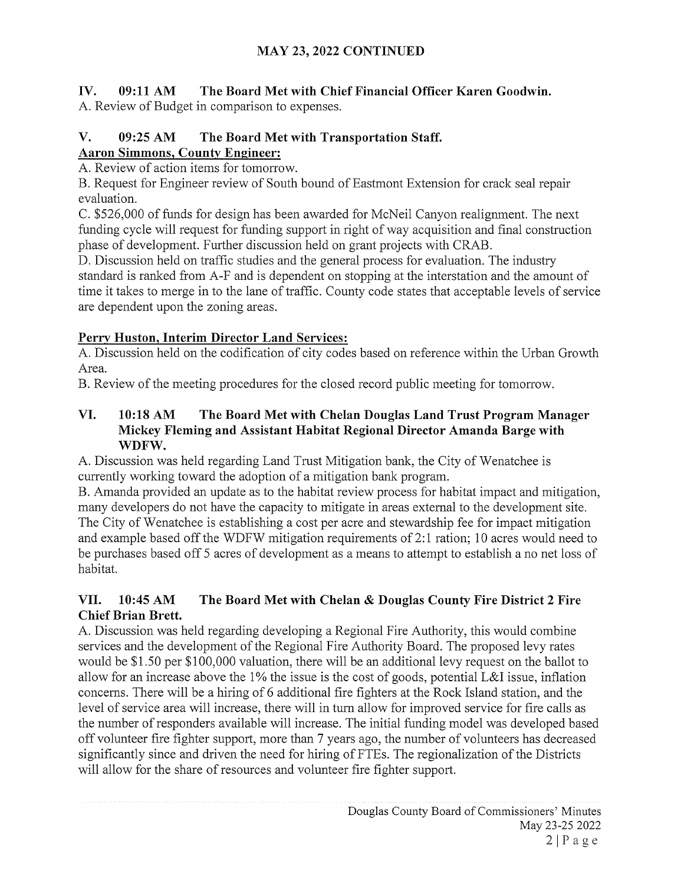# IV. 09:11 AM The Board Met with Chief Financial Officer Karen Goodwin.

A. Review of Budget in comparison to expenses.

# V. 09:25 AM The Board Met with Transportation Staff. Aaron Simmons, County Engineer:

A. Review of action items for tomorrow.

B. Request for Engineer review of South bound of Eastmont Extension for crack seal repair evaluation.

C. \$526,000 of funds for design has been awarded for McNeil Canyon realignment. The next funding cycle will request for funding support in right of way acquisition and final construction phase of development. Further discussion held on grant projects with CRAB.

D. Discussion held on traffic studies and the general process for evaluation. The industry standard is ranked from A-F and is dependent on stopping at the interstation and the amount of time it takes to merge in to the lane of traffic. County code states that acceptable levels of service are dependent upon the zoning areas.

# Perry Huston, Interim Director Land Services:

A. Discussion held on the codification of city codes based on reference within the Urban Growth Area.

B. Review of the meeting procedures for the closed record public meeting for tomorrow.

# VI. 10:18 AM The Board Met with Chelan Douglas Land Trust Program Manager Mickey Fleming and Assistant Habitat Regional Director Amanda Barge with WDFW.

A. Discussion was held regarding Land Trust Mitigation bank, the City of Wenatchee is currently working toward the adoption of <sup>a</sup> mitigation bank program.

B. Amanda provided an update as to the habitat review process for habitat impact and mitigation, many developers do not have the capacity to mitigate in areas external to the development site. The City of Wenatchee is establishing <sup>a</sup> cost per acre and stewardship fee for impact mitigation and example based off the WDFW mitigation requirements of 2:1 ration; <sup>10</sup> acres would need to be purchases based off <sup>5</sup> acres of development as <sup>a</sup> means to attempt to establish <sup>a</sup> no net loss of habitat.

# VII. 10:45 AM The Board Met with Chelan & Douglas County Fire District <sup>2</sup> Fire Chief Brian Brett.

A. Discussion was held regarding developing a Regional Fire Authority, this would combine services and the development of the Regional Fire Authority Board. The proposed levy rates would be \$1.50 per \$100,000 valuation, there will be an additional levy request on the ballot to allow for an increase above the 1% the issue is the cost of goods, potential L&I issue, inflation concerns. There will be <sup>a</sup> hiring of <sup>6</sup> additional fire fighters at the Rock Island station, and the level of service area will increase, there will in turn allow for improved service for fire calls as the number of responders available will increase. The initial funding model was developed based off volunteer fire fighter support, more than <sup>7</sup> years ago, the number of volunteers has decreased significantly since and driven the need for hiring of FTEs. The regionalization of the Districts will allow for the share of resources and volunteer fire fighter support.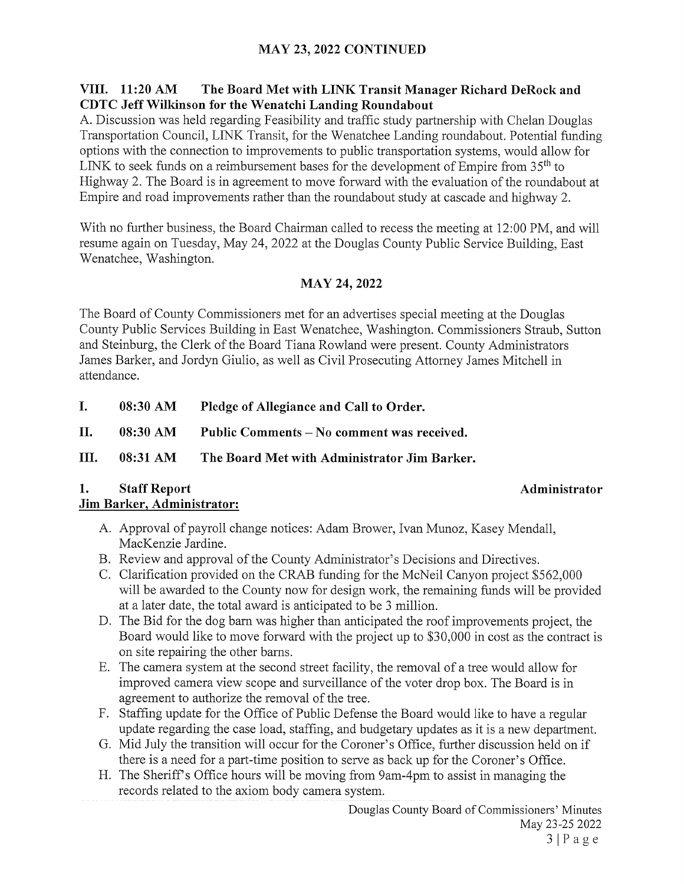# MAY 23, 2022 CONTINUED

## VIII. 11:20 AM The Board Met with LINK Transit Manager Richard DeRock and CDTC Jeff Wilkinson for the Wenatchi Landing Roundabout

A. Discussion was held regarding Feasibility and traffic study partnership with Chelan Douglas Transportation Council, LINK Transit, for the Wenatchee Landing roundabout. Potential funding options with the connection to improvements to public transportation systems, would allow for LINK to seek funds on a reimbursement bases for the development of Empire from  $35<sup>th</sup>$  to Highway 2. The Board is in agreement to move forward with the evaluation of the roundabout at Empire and road improvements rather than the roundabout study at cascade and highway 2.

With no further business, the Board Chairman called to recess the meeting at 12:00 PM, and will resume again on Tuesday, May 24, 2022 at the Douglas County Public Service Building, East Wenatchee, Washington.

# MAY 24, 2022

The Board of County Commissioners met for an advertises special meeting at the Douglas County Public Services Building in East Wenatchee, Washington. Commissioners Straub, Sutton and Steinburg, the Clerk of the Board Tiana Rowland were present. County Administrators James Barker, and Jordyn Giulio, as well as Civil Prosecuting Attorney James Mitchell in attendance.

- I. 08:30 AM Pledge of Allegiance and Call to Order.
- II. 08:30 AM Public Comments No comment was received.

### III. 08:3 <sup>1</sup> AM The Board Met with Administrator Jim Barker.

# 1. Staff Report **Administrator** Administrator

# Jim Barker, Administrator:

- A. Approval of payroll change notices: Adam Brower, Ivan Munoz, Kasey Mendall, MacKenzie Jardine.
- B. Review and approval of the County Administrator's Decisions and Directives.
- C. Clarification provided on the CRAB funding for the McNeil Canyon project \$562,000 will be awarded to the County now for design work, the remaining funds will be provided at a later date, the total award is anticipated to be <sup>3</sup> million.
- D. The Bid for the dog barn was higher than anticipated the roof improvements project, the Board would like to move forward with the project up to \$30,000 in cost as the contract is on site repairing the other barns.
- E. The camera system at the second street facility, the removal of a tree would allow for improved camera view scope and surveillance of the voter drop box. The Board is in agreement to authorize the removal of the tree.
- F. Staffing update for the Office of Public Defense the Board would like to have <sup>a</sup> regular update regarding the case load, staffing, and budgetary updates as it is a new department.
- G. Mid July the transition will occur for the Coroner's Office, further discussion held on if there is a need for a part-time position to serve as back up for the Coroner's Office.
- H. The Sheriff's Office hours will be moving from 9am-4pm to assist in managing the records related to the axiom body camera system.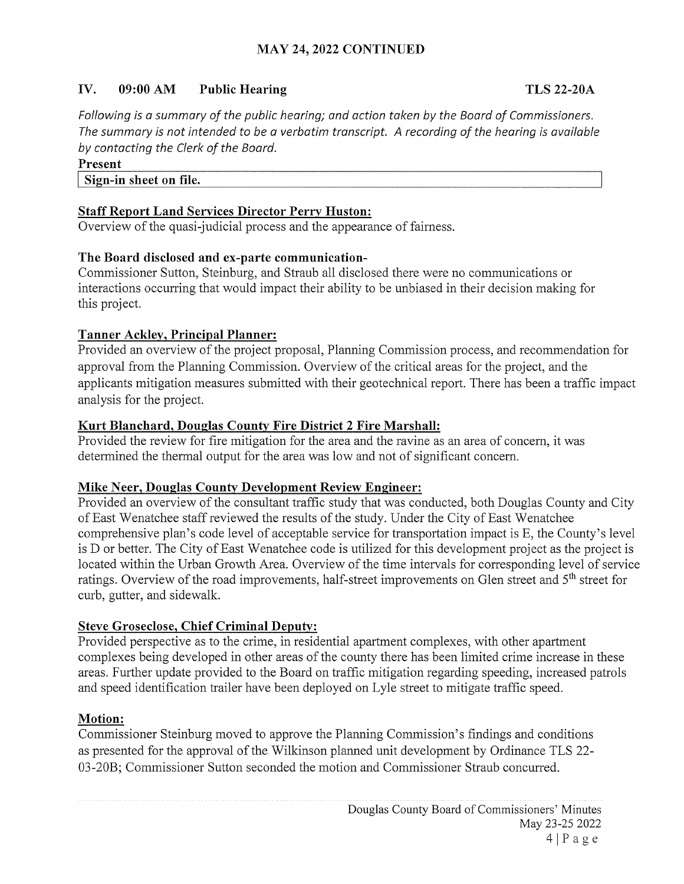# IV. 09:00 AM Public Hearing TLS 22-20A

Following is a summary of the public hearing; and action taken by the Board of Commissioners. The summary is not intended to be a verbatim transcript. A recording of the hearing is available by contacting the Clerk of the Board.

#### Present

#### Sign-in sheet on file.

#### Staff Report Land Services Director Perry Huston:

Overview of the quasi-judicial process and the appearance of fairness.

#### The Board disclosed and ex-parte communication-

Commissioner Sutton, Steinburg, and Straub all disclosed there were no communications or interactions occurring that would impact their ability to be unbiased in their decision making for this project.

#### Tanner Ackley, Principal Planner:

Provided an overview of the project proposal, Planning Commission process, and recommendation for approval from the Planning Commission. Overview of the critical areas for the project, and the applicants mitigation measures submitted with their geotechnical report. There has been a traffic impact analysis for the project.

#### Kurt Blanchard, Douglas County Fire District <sup>2</sup> Fire Marshall:

Provided the review for fire mitigation for the area and the ravine as an area of concern, it was determined the thermal output for the area was low and not of significant concern.

#### Mike Neer, Douglas County Development Review Engineer:

Provided an overview of the consultant traffic study that was conducted, both Douglas County and City of East Wenatchee staff reviewed the results of the study. Under the City of East Wenatchee comprehensive plan's code level of acceptable service for transportation impact is E, the County's level is D or better. The City of East Wenatchee code is utilized for this development project as the project is located within the Urban Growth Area. Overview of the time intervals for corresponding level of service ratings. Overview of the road improvements, half-street improvements on Glen street and 5th street for curb, gutter, and sidewalk.

#### Steve Groseclose, Chief Criminal Deputy:

Provided perspective as to the crime, in residential apartment complexes, with other apartment complexes being developed in other areas of the county there has been limited crime increase in these areas. Further update provided to the Board on traffic mitigation regarding speeding, increased patrols and speed identification trailer have been deployed on Lyle street to mitigate traffic speed.

### Motion:

Commissioner Steinburg moved to approve the Planning Commission's findings and conditions as presented for the approval of the Wilkinson planned unit development by Ordinance TLS 22- 03-20B; Commissioner Sutton seconded the motion and Commissioner Straub concurred.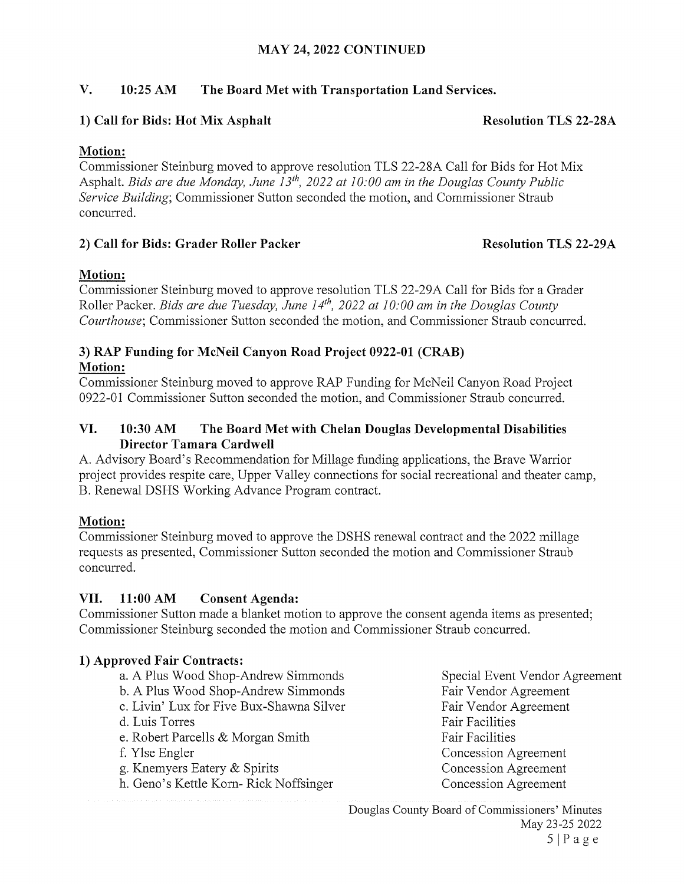## MAY 24, 2022 CONTINUED

# V. 10:25 AM The Board Met with Transportation Land Services.

#### 1) Call for Bids: Hot Mix Asphalt Resolution TLS 22-28A

### Motion:

Commissioner Steinburg moved to approve resolution TLS 22-28A Call for Bids for Hot Mix Asphalt. Bids are due Monday, June  $13^{th}$ , 2022 at 10:00 am in the Douglas County Public Service Building; Commissioner Sutton seconded the motion, and Commissioner Straub concurred.

# 2) Call for Bids: Grader Roller Packer Resolution TLS 22-29A

# Motion:

Commissioner Steinburg moved to approve resolution TLS 22-29A Call for Bids for a Grader Roller Packer. Bids are due Tuesday, June  $14<sup>th</sup>$ , 2022 at 10:00 am in the Douglas County Courthouse; Commissioner Sutton seconded the motion, and Commissioner Straub concurred.

#### 3) RAP Funding for McNeil Canyon Road Project 0922-01 (CRAB) Motion:

Commissioner Steinburg moved to approve RAP Funding for McNeil Canyon Road Project 0922-01 Commissioner Sutton seconded the motion, and Commissioner Straub concurred.

#### VI. 10:30 AM The Board Met with Chelan Douglas Developmental Disabilities Director Tamara Cardwell

A. Advisory Board's Recommendation for Millage funding applications, the Brave Warrior project provides respite care, Upper Valley connections for social recreational and theater camp, B. Renewal DSHS Working Advance Program contract.

### Motion:

Commissioner Steinburg moved to approve the DSHS renewal contract and the 2022 millage requests as presented, Commissioner Sutton seconded the motion and Commissioner Straub concurred.

### VII. 11:00 AM Consent Agenda:

Commissioner Sutton made a blanket motion to approve the consent agenda items as presented; Commissioner Steinburg seconded the motion and Commissioner Straub concurred.

### 1) Approved Fair Contracts:

- a. A Plus Wood Shop-Andrew Simmonds Special Event Vendor Agreement
- b. A Plus Wood Shop-Andrew Simmonds Fair Vendor Agreement
- c. Livin' Lux for Five Bux-Shawna Silver Fair Vendor Agreement
- d. Luis Torres **Fair Facilities** Fair Facilities
- e. Robert Parcells & Morgan Smith Fair Facilities
- 
- g. Knemyers Eatery & Spirits Concession Agreement
- h. Geno's Kettle Korn- Rick Noffsinger Concession Agreement

f. Ylse Engler Concession Agreement

Douglas County Board of Commissioners' Minutes May 23-25 2022  $5|Page$